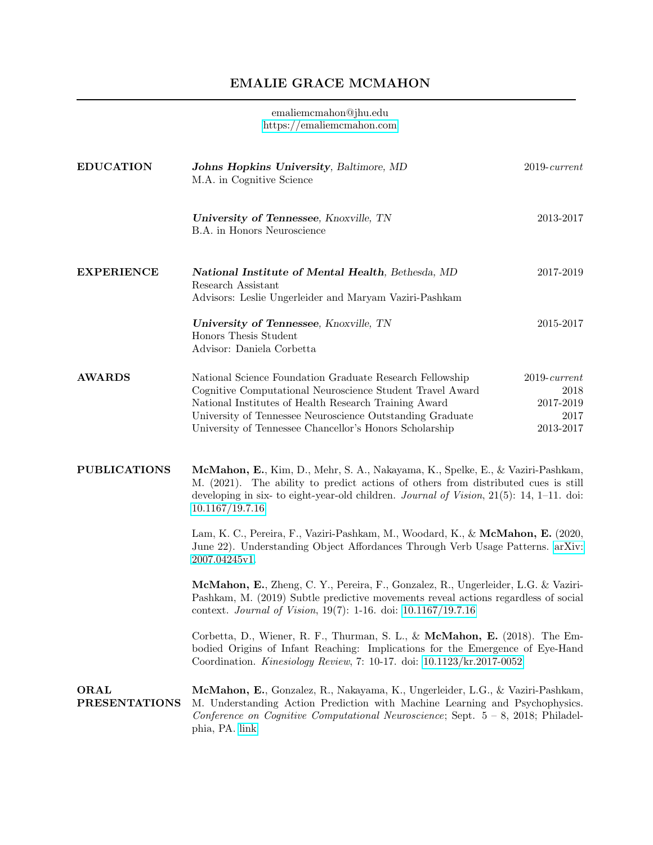## EMALIE GRACE MCMAHON

## emaliemcmahon@jhu.edu <https://emaliemcmahon.com>

| <b>EDUCATION</b>             | Johns Hopkins University, Baltimore, MD<br>M.A. in Cognitive Science                                                                                                                                                                                                                                   | $2019$ -current                                           |  |
|------------------------------|--------------------------------------------------------------------------------------------------------------------------------------------------------------------------------------------------------------------------------------------------------------------------------------------------------|-----------------------------------------------------------|--|
|                              | University of Tennessee, Knoxville, TN<br>B.A. in Honors Neuroscience                                                                                                                                                                                                                                  | 2013-2017                                                 |  |
| <b>EXPERIENCE</b>            | National Institute of Mental Health, Bethesda, MD<br>Research Assistant<br>Advisors: Leslie Ungerleider and Maryam Vaziri-Pashkam                                                                                                                                                                      | 2017-2019                                                 |  |
|                              | University of Tennessee, Knoxville, TN<br>Honors Thesis Student<br>Advisor: Daniela Corbetta                                                                                                                                                                                                           | 2015-2017                                                 |  |
| <b>AWARDS</b>                | National Science Foundation Graduate Research Fellowship<br>Cognitive Computational Neuroscience Student Travel Award<br>National Institutes of Health Research Training Award<br>University of Tennessee Neuroscience Outstanding Graduate<br>University of Tennessee Chancellor's Honors Scholarship | $2019$ -current<br>2018<br>2017-2019<br>2017<br>2013-2017 |  |
| <b>PUBLICATIONS</b>          | McMahon, E., Kim, D., Mehr, S. A., Nakayama, K., Spelke, E., & Vaziri-Pashkam,<br>M. (2021). The ability to predict actions of others from distributed cues is still<br>developing in six- to eight-year-old children. Journal of Vision, $21(5)$ : 14, 1–11. doi:<br>10.1167/19.7.16                  |                                                           |  |
|                              | Lam, K. C., Pereira, F., Vaziri-Pashkam, M., Woodard, K., & McMahon, E. (2020,<br>June 22). Understanding Object Affordances Through Verb Usage Patterns. arXiv:<br>2007.04245v1.                                                                                                                      |                                                           |  |
|                              | McMahon, E., Zheng, C. Y., Pereira, F., Gonzalez, R., Ungerleider, L.G. & Vaziri-<br>Pashkam, M. (2019) Subtle predictive movements reveal actions regardless of social<br>context. Journal of Vision, 19(7): 1-16. doi: 10.1167/19.7.16                                                               |                                                           |  |
|                              | Corbetta, D., Wiener, R. F., Thurman, S. L., & McMahon, E. (2018). The Em-<br>bodied Origins of Infant Reaching: Implications for the Emergence of Eye-Hand<br>Coordination. Kinesiology Review, 7: 10-17. doi: 10.1123/kr.2017-0052                                                                   |                                                           |  |
| ORAL<br><b>PRESENTATIONS</b> | McMahon, E., Gonzalez, R., Nakayama, K., Ungerleider, L.G., & Vaziri-Pashkam,<br>M. Understanding Action Prediction with Machine Learning and Psychophysics.<br>Conference on Cognitive Computational Neuroscience; Sept. $5 - 8$ , 2018; Philadel-<br>phia, PA. link                                  |                                                           |  |